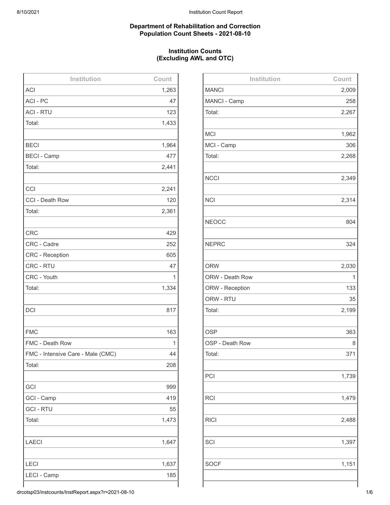## **Department of Rehabilitation and Correction Population Count Sheets - 2021-08-10**

# **Institution Counts (Excluding AWL and OTC)**

| Institution                       | Count |
|-----------------------------------|-------|
| <b>ACI</b>                        | 1,263 |
| ACI-PC                            | 47    |
| <b>ACI - RTU</b>                  | 123   |
| Total:                            | 1,433 |
|                                   |       |
| <b>BECI</b>                       | 1,964 |
| <b>BECI - Camp</b>                | 477   |
| Total:                            | 2,441 |
|                                   |       |
| CCI                               | 2,241 |
| CCI - Death Row                   | 120   |
| Total:                            | 2,361 |
|                                   |       |
| <b>CRC</b>                        | 429   |
| CRC - Cadre                       | 252   |
| <b>CRC</b> - Reception            | 605   |
| CRC - RTU                         | 47    |
| CRC - Youth                       | 1     |
| Total:                            | 1,334 |
|                                   |       |
| <b>DCI</b>                        | 817   |
|                                   |       |
| <b>FMC</b>                        | 163   |
| FMC - Death Row                   | 1     |
| FMC - Intensive Care - Male (CMC) | 44    |
| Total:                            | 208   |
|                                   |       |
| GCI                               | 999   |
| GCI - Camp                        | 419   |
| <b>GCI-RTU</b>                    | 55    |
| Total:                            | 1,473 |
|                                   |       |
| <b>LAECI</b>                      | 1,647 |
|                                   |       |
| <b>LECI</b>                       | 1,637 |
| LECI - Camp                       | 185   |
|                                   |       |

| Institution     | Count |
|-----------------|-------|
| <b>MANCI</b>    | 2,009 |
| MANCI - Camp    | 258   |
| Total:          | 2,267 |
|                 |       |
| <b>MCI</b>      | 1,962 |
| MCI - Camp      | 306   |
| Total:          | 2,268 |
|                 |       |
| <b>NCCI</b>     | 2,349 |
|                 |       |
| <b>NCI</b>      | 2,314 |
|                 |       |
| <b>NEOCC</b>    | 804   |
|                 |       |
| <b>NEPRC</b>    | 324   |
|                 |       |
| <b>ORW</b>      | 2,030 |
| ORW - Death Row | 1     |
| ORW - Reception | 133   |
| ORW - RTU       | 35    |
| Total:          | 2,199 |
|                 |       |
| <b>OSP</b>      | 363   |
| OSP - Death Row | 8     |
| Total:          | 371   |
|                 |       |
| PCI             | 1,739 |
|                 |       |
| <b>RCI</b>      | 1,479 |
|                 |       |
| <b>RICI</b>     | 2,488 |
|                 |       |
| SCI             | 1,397 |
|                 |       |
| <b>SOCF</b>     | 1,151 |
|                 |       |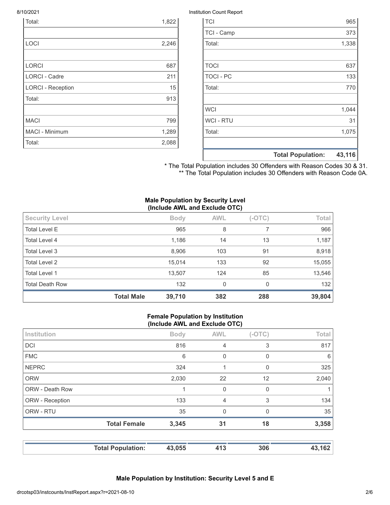| Total:                   | 1,822 |
|--------------------------|-------|
|                          |       |
| <b>LOCI</b>              | 2,246 |
|                          |       |
| <b>LORCI</b>             | 687   |
| <b>LORCI - Cadre</b>     | 211   |
| <b>LORCI - Reception</b> | 15    |
| Total:                   | 913   |
|                          |       |
| <b>MACI</b>              | 799   |
| <b>MACI - Minimum</b>    | 1,289 |
| Total:                   | 2,088 |
|                          |       |

| <b>TCI</b>       |                          | 965    |
|------------------|--------------------------|--------|
| TCI - Camp       |                          | 373    |
| Total:           |                          | 1,338  |
|                  |                          |        |
| <b>TOCI</b>      |                          | 637    |
| <b>TOCI - PC</b> |                          | 133    |
| Total:           |                          | 770    |
|                  |                          |        |
| <b>WCI</b>       |                          | 1,044  |
| <b>WCI - RTU</b> |                          | 31     |
| Total:           |                          | 1,075  |
|                  |                          |        |
|                  | <b>Total Population:</b> | 43,116 |

\* The Total Population includes 30 Offenders with Reason Codes 30 & 31. \*\* The Total Population includes 30 Offenders with Reason Code 0A.

#### **Male Population by Security Level (Include AWL and Exclude OTC)**

| <b>Security Level</b>  |                   | <b>Body</b> | <b>AWL</b> | $(-OTC)$ | Total  |
|------------------------|-------------------|-------------|------------|----------|--------|
| <b>Total Level E</b>   |                   | 965         | 8          |          | 966    |
| <b>Total Level 4</b>   |                   | 1,186       | 14         | 13       | 1,187  |
| Total Level 3          |                   | 8,906       | 103        | 91       | 8,918  |
| Total Level 2          |                   | 15,014      | 133        | 92       | 15,055 |
| Total Level 1          |                   | 13,507      | 124        | 85       | 13,546 |
| <b>Total Death Row</b> |                   | 132         | 0          | 0        | 132    |
|                        | <b>Total Male</b> | 39,710      | 382        | 288      | 39,804 |

#### **Female Population by Institution (Include AWL and Exclude OTC)**

|                 | <b>Total Population:</b> | 43,055      | 413         | 306      | 43,162 |
|-----------------|--------------------------|-------------|-------------|----------|--------|
|                 | <b>Total Female</b>      | 3,345       | 31          | 18       | 3,358  |
| ORW - RTU       |                          | 35          | $\mathbf 0$ | 0        | 35     |
| ORW - Reception |                          | 133         | 4           | 3        | 134    |
| ORW - Death Row |                          | 1           | 0           | $\Omega$ |        |
| <b>ORW</b>      |                          | 2,030       | 22          | 12       | 2,040  |
| <b>NEPRC</b>    |                          | 324         | 1           | 0        | 325    |
| <b>FMC</b>      |                          | 6           | 0           | 0        | 6      |
| <b>DCI</b>      |                          | 816         | 4           | 3        | 817    |
| Institution     |                          | <b>Body</b> | <b>AWL</b>  | $(-OTC)$ | Total  |

**Male Population by Institution: Security Level 5 and E**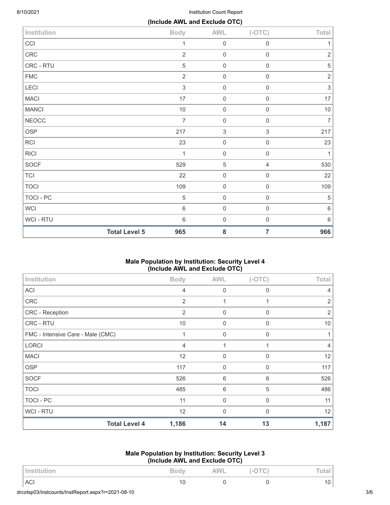|                  |                      | (Include AWL and Exclude OTC) |                           |                           |                |
|------------------|----------------------|-------------------------------|---------------------------|---------------------------|----------------|
| Institution      |                      | <b>Body</b>                   | <b>AWL</b>                | $(-OTC)$                  | Total          |
| CCI              |                      | $\mathbf{1}$                  | $\mathbf 0$               | $\mathsf{O}\xspace$       | $\mathbf{1}$   |
| CRC              |                      | $\overline{2}$                | $\mathbf 0$               | $\mathbf 0$               | $\sqrt{2}$     |
| CRC - RTU        |                      | 5                             | $\mathbf 0$               | $\mathbf 0$               | $\sqrt{5}$     |
| ${\sf FMC}$      |                      | $\overline{2}$                | $\mathbf 0$               | $\mathsf{O}\xspace$       | $\sqrt{2}$     |
| LECI             |                      | $\mathfrak{S}$                | $\mathbf 0$               | $\mathsf 0$               | $\sqrt{3}$     |
| <b>MACI</b>      |                      | 17                            | $\mathbf 0$               | $\boldsymbol{0}$          | 17             |
| <b>MANCI</b>     |                      | $10$                          | $\mathbf 0$               | $\mathsf{O}\xspace$       | $10$           |
| <b>NEOCC</b>     |                      | $\overline{7}$                | $\mathbf 0$               | $\mathbf 0$               | $\overline{7}$ |
| <b>OSP</b>       |                      | 217                           | $\ensuremath{\mathsf{3}}$ | $\ensuremath{\mathsf{3}}$ | 217            |
| <b>RCI</b>       |                      | 23                            | $\mathbf 0$               | $\mathbf 0$               | 23             |
| <b>RICI</b>      |                      | 1                             | $\mathbf 0$               | $\mathbf 0$               | $\mathbf{1}$   |
| <b>SOCF</b>      |                      | 529                           | $\mathbf 5$               | 4                         | 530            |
| <b>TCI</b>       |                      | 22                            | $\mathbf 0$               | $\boldsymbol{0}$          | 22             |
| <b>TOCI</b>      |                      | 109                           | $\mathbf 0$               | $\mathsf{O}\xspace$       | 109            |
| <b>TOCI - PC</b> |                      | 5                             | $\mathbf 0$               | $\mathbf 0$               | $\sqrt{5}$     |
| <b>WCI</b>       |                      | 6                             | $\mathbf 0$               | $\boldsymbol{0}$          | $\,6\,$        |
| <b>WCI-RTU</b>   |                      | $\,6\,$                       | $\mathbf 0$               | $\mathbf 0$               | 6              |
|                  | <b>Total Level 5</b> | 965                           | ${\bf 8}$                 | $\overline{7}$            | 966            |

# **Male Population by Institution: Security Level 4 (Include AWL and Exclude OTC)**

| Institution                       | <b>Body</b>    | <b>AWL</b>  | $(-OTC)$    | <b>Total</b>   |
|-----------------------------------|----------------|-------------|-------------|----------------|
| <b>ACI</b>                        | 4              | 0           | 0           | 4              |
| CRC                               | $\overline{2}$ | 1           |             | 2              |
| CRC - Reception                   | $\overline{2}$ | $\mathbf 0$ | $\mathbf 0$ | 2              |
| CRC - RTU                         | 10             | 0           | 0           | 10             |
| FMC - Intensive Care - Male (CMC) | 1              | $\Omega$    | $\Omega$    | 1              |
| <b>LORCI</b>                      | 4              | 1           |             | $\overline{4}$ |
| <b>MACI</b>                       | 12             | 0           | 0           | 12             |
| <b>OSP</b>                        | 117            | $\mathbf 0$ | $\mathbf 0$ | 117            |
| <b>SOCF</b>                       | 526            | 6           | 6           | 526            |
| <b>TOCI</b>                       | 485            | 6           | 5           | 486            |
| <b>TOCI - PC</b>                  | 11             | $\mathbf 0$ | 0           | 11             |
| <b>WCI-RTU</b>                    | 12             | $\Omega$    | 0           | 12             |
| <b>Total Level 4</b>              | 1,186          | 14          | 13          | 1,187          |

#### **Male Population by Institution: Security Level 3 (Include AWL and Exclude OTC)**

| Institution                                       | Body           | -O   C) | Total |     |
|---------------------------------------------------|----------------|---------|-------|-----|
| <b>ACI</b>                                        | $\overline{ }$ |         |       |     |
| drcotsp03/instcounts/InstReport.aspx?r=2021-08-10 |                |         |       | 3/6 |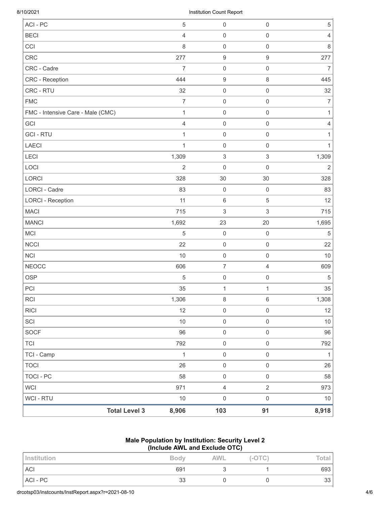|                                   | <b>Total Level 3</b><br>8,906 | 103                       | 91                        | 8,918          |
|-----------------------------------|-------------------------------|---------------------------|---------------------------|----------------|
| WCI - RTU                         | $10$                          | $\mbox{O}$                | $\mathsf{O}\xspace$       | $10$           |
| <b>WCI</b>                        | 971                           | $\overline{4}$            | $\overline{2}$            | 973            |
| <b>TOCI - PC</b>                  | 58                            | $\mbox{O}$                | $\mathsf{O}\xspace$       | 58             |
| <b>TOCI</b>                       | 26                            | $\mathsf{O}\xspace$       | $\mathsf{O}\xspace$       | 26             |
| TCI - Camp                        | $\mathbf{1}$                  | $\mathsf 0$               | $\mathsf{O}\xspace$       | 1              |
| <b>TCI</b>                        | 792                           | $\mathsf 0$               | $\mathsf{O}\xspace$       | 792            |
| SOCF                              | 96                            | $\mbox{O}$                | $\mathsf{O}\xspace$       | 96             |
| SCI                               | $10$                          | $\mathsf{O}\xspace$       | $\mathsf{O}\xspace$       | $10$           |
| <b>RICI</b>                       | 12                            | $\mathbf 0$               | $\mathsf{O}\xspace$       | 12             |
| <b>RCI</b>                        | 1,306                         | 8                         | $\,6\,$                   | 1,308          |
| PCI                               | 35                            | $\mathbf{1}$              | 1                         | 35             |
| <b>OSP</b>                        | $\mathbf 5$                   | $\mathbf 0$               | $\mathsf 0$               | $\overline{5}$ |
| <b>NEOCC</b>                      | 606                           | 7                         | $\overline{4}$            | 609            |
| <b>NCI</b>                        | 10                            | $\mathbf 0$               | $\mathsf 0$               | 10             |
| <b>NCCI</b>                       | 22                            | $\mathbf 0$               | $\mathsf 0$               | 22             |
| <b>MCI</b>                        | 5                             | $\mathbf 0$               | $\mathbf 0$               | 5              |
| <b>MANCI</b>                      | 1,692                         | 23                        | 20                        | 1,695          |
| <b>MACI</b>                       | 715                           | 3                         | $\ensuremath{\mathsf{3}}$ | 715            |
| <b>LORCI - Reception</b>          | 11                            | $\,6$                     | $\,$ 5 $\,$               | 12             |
| LORCI - Cadre                     | 83                            | $\mathbf 0$               | $\mathsf 0$               | 83             |
| LORCI                             | 328                           | 30                        | 30                        | 328            |
| LOCI                              | 2                             | $\mathbf 0$               | $\mathsf{O}\xspace$       | $\overline{2}$ |
| LECI                              | 1,309                         | $\ensuremath{\mathsf{3}}$ | $\ensuremath{\mathsf{3}}$ | 1,309          |
| LAECI                             | $\mathbf{1}$                  | $\boldsymbol{0}$          | $\mathbf 0$               | 1              |
| <b>GCI-RTU</b>                    | $\mathbf{1}$                  | $\mathbf 0$               | $\mathbf 0$               | 1              |
| GCI                               | $\overline{4}$                | $\mathbf 0$               | $\mathsf 0$               | $\overline{4}$ |
| FMC - Intensive Care - Male (CMC) | $\mathbf{1}$                  | $\mathbf 0$               | $\mathsf{O}\xspace$       | $\mathbf{1}$   |
| <b>FMC</b>                        | $\overline{7}$                | $\mathbf 0$               | $\mathsf 0$               | $\overline{7}$ |
| CRC - RTU                         | 32                            | $\boldsymbol{0}$          | $\mathbf 0$               | 32             |
| CRC - Reception                   | 444                           | $\boldsymbol{9}$          | $\,8\,$                   | 445            |
| CRC - Cadre                       | $\overline{7}$                | $\boldsymbol{0}$          | $\mathbf 0$               | 7              |
| CRC                               | 277                           | $\boldsymbol{9}$          | $\boldsymbol{9}$          | 277            |
| CCI                               | 8                             | $\boldsymbol{0}$          | $\mathbf 0$               | $\,8\,$        |
| <b>BECI</b>                       | 4                             | $\mathbf 0$               | $\mathsf 0$               | $\overline{4}$ |
| ACI - PC                          | $\mathbf 5$                   | $\mathsf{O}\xspace$       | $\mathsf{O}\xspace$       | $\mathbf 5$    |

# **Male Population by Institution: Security Level 2 (Include AWL and Exclude OTC)**

| Institution | <b>Body</b> | <b>AWL</b> | $(-O1 G)$ | Total |
|-------------|-------------|------------|-----------|-------|
| <b>ACI</b>  | 691         |            |           | 693   |
| ACI-PC      | 33          |            |           | 33    |

drcotsp03/instcounts/InstReport.aspx?r=2021-08-10 4/6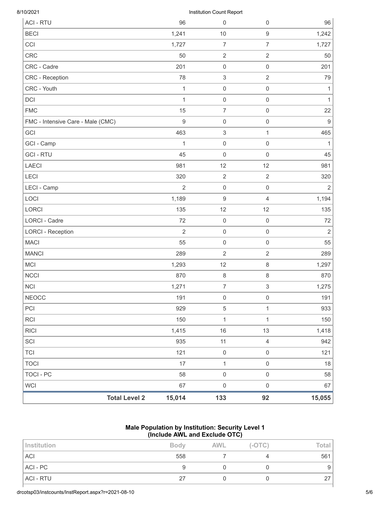| <b>ACI - RTU</b>                  | 96             | $\mathbf 0$               | $\mathsf{O}\xspace$       | 96             |
|-----------------------------------|----------------|---------------------------|---------------------------|----------------|
| <b>BECI</b>                       | 1,241          | 10                        | $\boldsymbol{9}$          | 1,242          |
| CCI                               | 1,727          | $\overline{7}$            | $\overline{7}$            | 1,727          |
| CRC                               | 50             | $\sqrt{2}$                | $\overline{2}$            | 50             |
| CRC - Cadre                       | 201            | $\mathbf 0$               | $\mathsf 0$               | 201            |
| CRC - Reception                   | 78             | $\ensuremath{\mathsf{3}}$ | $\overline{2}$            | 79             |
| CRC - Youth                       | $\mathbf{1}$   | $\mathbf 0$               | $\mathsf{O}\xspace$       | $\mathbf{1}$   |
| DCI                               | $\mathbf{1}$   | $\mathbf 0$               | $\mathsf{O}\xspace$       | $\mathbf{1}$   |
| <b>FMC</b>                        | 15             | $\overline{7}$            | $\mathsf 0$               | 22             |
| FMC - Intensive Care - Male (CMC) | 9              | $\mathbf 0$               | $\mathsf{O}\xspace$       | $9\,$          |
| GCI                               | 463            | $\ensuremath{\mathsf{3}}$ | $\mathbf{1}$              | 465            |
| GCI - Camp                        | $\mathbf{1}$   | $\mathbf 0$               | $\mathsf 0$               | 1              |
| <b>GCI - RTU</b>                  | 45             | $\mathbf 0$               | $\mathbf 0$               | 45             |
| <b>LAECI</b>                      | 981            | 12                        | 12                        | 981            |
| LECI                              | 320            | $\sqrt{2}$                | $\overline{2}$            | 320            |
| LECI - Camp                       | $\overline{2}$ | $\mathbf 0$               | $\mathsf{O}\xspace$       | $\overline{2}$ |
| LOCI                              | 1,189          | $\boldsymbol{9}$          | $\overline{4}$            | 1,194          |
| LORCI                             | 135            | 12                        | 12                        | 135            |
| <b>LORCI - Cadre</b>              | 72             | $\mathbf 0$               | $\mathsf{O}\xspace$       | 72             |
| <b>LORCI - Reception</b>          | $\overline{2}$ | $\mathbf 0$               | $\mathsf{O}\xspace$       | $\sqrt{2}$     |
| <b>MACI</b>                       | 55             | $\mathbf 0$               | $\mathsf{O}\xspace$       | 55             |
| <b>MANCI</b>                      | 289            | $\sqrt{2}$                | $\overline{2}$            | 289            |
| MCI                               | 1,293          | 12                        | 8                         | 1,297          |
| <b>NCCI</b>                       | 870            | $\,8\,$                   | 8                         | 870            |
| <b>NCI</b>                        | 1,271          | $\overline{7}$            | $\ensuremath{\mathsf{3}}$ | 1,275          |
| <b>NEOCC</b>                      | 191            | $\mathbf 0$               | $\mathsf{O}\xspace$       | 191            |
| PCI                               | 929            | $\mathbf 5$               | $\mathbf{1}$              | 933            |
| <b>RCI</b>                        | 150            | $\mathbf{1}$              | $\mathbf{1}$              | 150            |
| <b>RICI</b>                       | 1,415          | 16                        | 13                        | 1,418          |
| SCI                               | 935            | 11                        | $\overline{4}$            | 942            |
| <b>TCI</b>                        | 121            | $\mathbf 0$               | $\mathsf{O}\xspace$       | 121            |
| <b>TOCI</b>                       | 17             | $\mathbf 1$               | $\mathsf{O}\xspace$       | 18             |
| <b>TOCI - PC</b>                  | 58             | $\mathbf 0$               | $\mathsf{O}\xspace$       | 58             |
| <b>WCI</b>                        | 67             | $\mathbf 0$               | $\mathsf{O}\xspace$       | 67             |
| <b>Total Level 2</b>              | 15,014         | 133                       | 92                        | 15,055         |

## **Male Population by Institution: Security Level 1 (Include AWL and Exclude OTC)**

| Institution      | <b>Body</b> | <b>AWL</b> | $(-OTC)$ | Total |
|------------------|-------------|------------|----------|-------|
| <b>ACI</b>       | 558         |            |          | 561   |
| ACI-PC           |             |            |          | 9     |
| <b>ACI - RTU</b> | 27          |            |          | 27    |

drcotsp03/instcounts/InstReport.aspx?r=2021-08-10 5/6